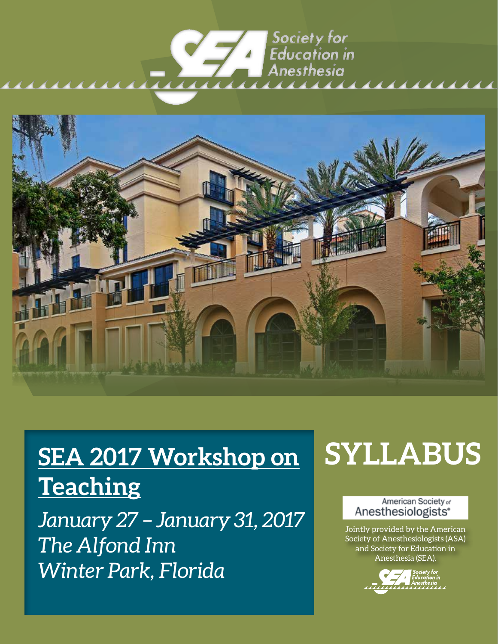## Society for **Education** in Anesthesia <u>aaaaa</u> uuu



# **SEA 2017 Workshop on Teaching**

*January 27 – January 31, 2017 The Alfond Inn Winter Park, Florida*

# **SYLLABUS**

### American Society of Anesthesiologists<sup>®</sup>

Jointly provided by the American Society of Anesthesiologists (ASA) and Society for Education in Anesthesia (SEA).

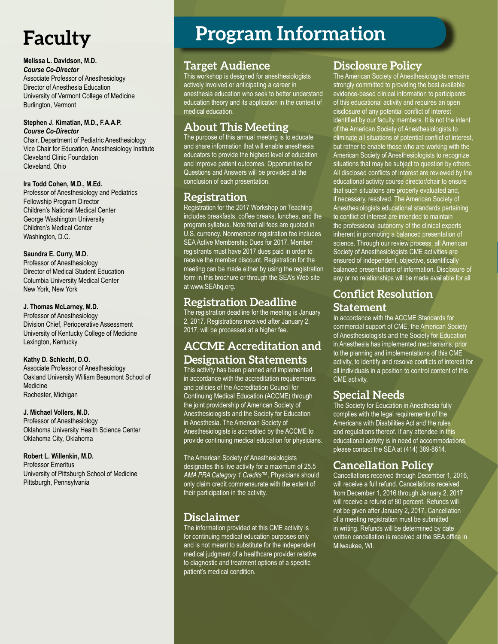# **Faculty**

### **Melissa L. Davidson, M.D.**

*Course Co-Director* Associate Professor of Anesthesiology Director of Anesthesia Education University of Vermont College of Medicine Burlington, Vermont

### **Stephen J. Kimatian, M.D., F.A.A.P.** *Course Co-Director*

Chair, Department of Pediatric Anesthesiology Vice Chair for Education, Anesthesiology Institute Cleveland Clinic Foundation Cleveland, Ohio

### **Ira Todd Cohen, M.D., M.Ed.**

Professor of Anesthesiology and Pediatrics Fellowship Program Director Children's National Medical Center George Washington University Children's Medical Center Washington, D.C.

### **Saundra E. Curry, M.D.**

Professor of Anesthesiology Director of Medical Student Education Columbia University Medical Center New York, New York

### **J. Thomas McLarney, M.D.**

Professor of Anesthesiology Division Chief, Perioperative Assessment University of Kentucky College of Medicine Lexington, Kentucky

### **Kathy D. Schlecht, D.O.**

Associate Professor of Anesthesiology Oakland University William Beaumont School of Medicine Rochester, Michigan

### **J. Michael Vollers, M.D.**

Professor of Anesthesiology Oklahoma University Health Science Center Oklahoma City, Oklahoma

### **Robert L. Willenkin, M.D.**

Professor Emeritus University of Pittsburgh School of Medicine Pittsburgh, Pennsylvania

# **Program Information**

## **Target Audience**

This workshop is designed for anesthesiologists actively involved or anticipating a career in anesthesia education who seek to better understand education theory and its application in the context of medical education.

## **About This Meeting**

The purpose of this annual meeting is to educate and share information that will enable anesthesia educators to provide the highest level of education and improve patient outcomes. Opportunities for Questions and Answers will be provided at the conclusion of each presentation.

## **Registration**

Registration for the 2017 Workshop on Teaching includes breakfasts, coffee breaks, lunches, and the program syllabus. Note that all fees are quoted in U.S. currency. Nonmember registration fee includes SEA Active Membership Dues for 2017. Member registrants must have 2017 dues paid in order to receive the member discount. Registration for the meeting can be made either by using the registration form in this brochure or through the SEA's Web site at www.SEAhq.org.

## **Registration Deadline**

The registration deadline for the meeting is January 2, 2017. Registrations received after January 2, 2017, will be processed at a higher fee.

## **ACCME Accreditation and Designation Statements**

This activity has been planned and implemented in accordance with the accreditation requirements and policies of the Accreditation Council for Continuing Medical Education (ACCME) through the joint providership of American Society of Anesthesiologists and the Society for Education in Anesthesia. The American Society of Anesthesiologists is accredited by the ACCME to provide continuing medical education for physicians.

The American Society of Anesthesiologists designates this live activity for a maximum of 25.5 *AMA PRA Category 1 Credits™*. Physicians should only claim credit commensurate with the extent of their participation in the activity.

## **Disclaimer**

The information provided at this CME activity is for continuing medical education purposes only and is not meant to substitute for the independent medical judgment of a healthcare provider relative to diagnostic and treatment options of a specific patient's medical condition.

## **Disclosure Policy**

The American Society of Anesthesiologists remains strongly committed to providing the best available evidence-based clinical information to participants of this educational activity and requires an open disclosure of any potential conflict of interest identified by our faculty members. It is not the intent of the American Society of Anesthesiologists to eliminate all situations of potential conflict of interest, but rather to enable those who are working with the American Society of Anesthesiologists to recognize situations that may be subject to question by others. All disclosed conflicts of interest are reviewed by the educational activity course director/chair to ensure that such situations are properly evaluated and, if necessary, resolved. The American Society of Anesthesiologists educational standards pertaining to conflict of interest are intended to maintain the professional autonomy of the clinical experts inherent in promoting a balanced presentation of science. Through our review process, all American Society of Anesthesiologists CME activities are ensured of independent, objective, scientifically balanced presentations of information. Disclosure of any or no relationships will be made available for all

## **Conflict Resolution Statement**

In accordance with the ACCME Standards for commercial support of CME, the American Society of Anesthesiologists and the Society for Education in Anesthesia has implemented mechanisms, prior to the planning and implementations of this CME activity, to identify and resolve conflicts of interest for all individuals in a position to control content of this CME activity.

## **Special Needs**

The Society for Education in Anesthesia fully complies with the legal requirements of the Americans with Disabilities Act and the rules and regulations thereof. If any attendee in this educational activity is in need of accommodations, please contact the SEA at (414) 389-8614.

## **Cancellation Policy**

Cancellations received through December 1, 2016, will receive a full refund. Cancellations received from December 1, 2016 through January 2, 2017 will receive a refund of 80 percent. Refunds will not be given after January 2, 2017. Cancellation of a meeting registration must be submitted in writing. Refunds will be determined by date written cancellation is received at the SEA office in Milwaukee, WI.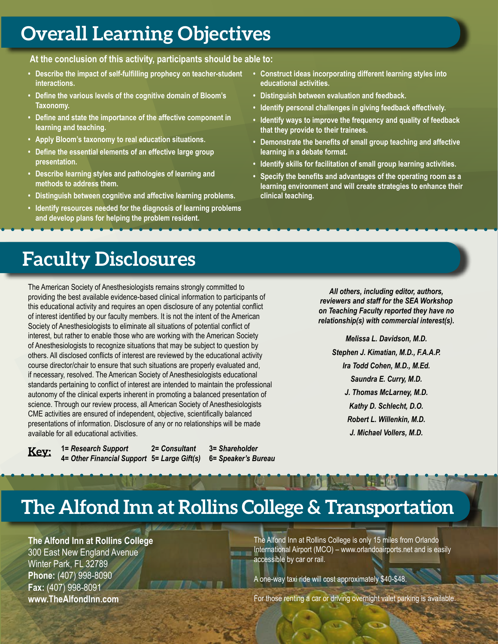# **Overall Learning Objectives**

**At the conclusion of this activity, participants should be able to:**

- **• Describe the impact of self-fulfilling prophecy on teacher-student interactions.**
- **• Define the various levels of the cognitive domain of Bloom's Taxonomy.**
- **• Define and state the importance of the affective component in learning and teaching.**
- **• Apply Bloom's taxonomy to real education situations.**
- **• Define the essential elements of an effective large group presentation.**
- **• Describe learning styles and pathologies of learning and methods to address them.**
- **• Distinguish between cognitive and affective learning problems.**
- **• Identify resources needed for the diagnosis of learning problems and develop plans for helping the problem resident.**
- **• Construct ideas incorporating different learning styles into educational activities.**
- **• Distinguish between evaluation and feedback.**
- **• Identify personal challenges in giving feedback effectively.**
- **• Identify ways to improve the frequency and quality of feedback that they provide to their trainees.**
- **• Demonstrate the benefits of small group teaching and affective learning in a debate format.**
- **• Identify skills for facilitation of small group learning activities.**
- **• Specify the benefits and advantages of the operating room as a learning environment and will create strategies to enhance their clinical teaching.**

# **Faculty Disclosures**

The American Society of Anesthesiologists remains strongly committed to providing the best available evidence-based clinical information to participants of this educational activity and requires an open disclosure of any potential conflict of interest identified by our faculty members. It is not the intent of the American Society of Anesthesiologists to eliminate all situations of potential conflict of interest, but rather to enable those who are working with the American Society of Anesthesiologists to recognize situations that may be subject to question by others. All disclosed conflicts of interest are reviewed by the educational activity course director/chair to ensure that such situations are properly evaluated and, if necessary, resolved. The American Society of Anesthesiologists educational standards pertaining to conflict of interest are intended to maintain the professional autonomy of the clinical experts inherent in promoting a balanced presentation of science. Through our review process, all American Society of Anesthesiologists CME activities are ensured of independent, objective, scientifically balanced presentations of information. Disclosure of any or no relationships will be made available for all educational activities.



**1=** *Research Support* **2=** *Consultant* **3=** *Shareholder* **4=** *Other Financial Support* **5=** *Large Gift(s)* **6=** *Speaker's Bureau*

*All others, including editor, authors, reviewers and staff for the SEA Workshop on Teaching Faculty reported they have no relationship(s) with commercial interest(s).*

*Melissa L. Davidson, M.D. Stephen J. Kimatian, M.D., F.A.A.P. Ira Todd Cohen, M.D., M.Ed. Saundra E. Curry, M.D. J. Thomas McLarney, M.D. Kathy D. Schlecht, D.O. Robert L. Willenkin, M.D. J. Michael Vollers, M.D.*

# **The Alfond Inn at Rollins College & Transportation**

**The Alfond Inn at Rollins College** 300 East New England Avenue Winter Park, FL 32789 **Phone:** (407) 998-8090 **Fax:** (407) 998-8091 **www.TheAlfondInn.com**

The Alfond Inn at Rollins College is only 15 miles from Orlando International Airport (MCO) – www.orlandoairports.net and is easily accessible by car or rail.

A one-way taxi ride will cost approximately \$40-\$48.

For those renting a car or driving overnight valet parking is available.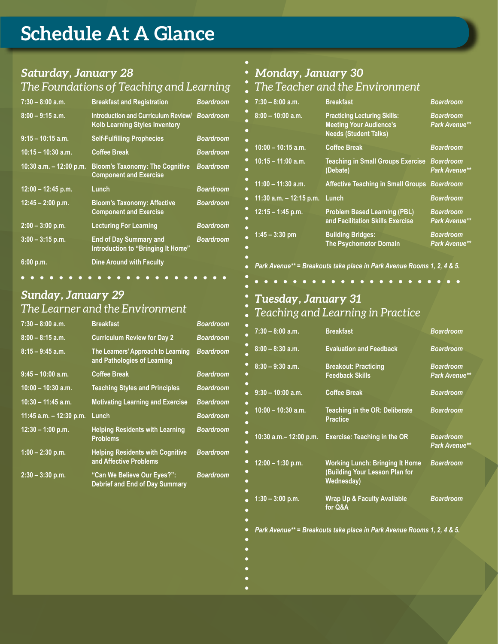# **Schedule At A Glance**

### *Saturday, January 28 The Foundations of Teaching and Learning*

| $7:30 - 8:00$ a.m.        | <b>Breakfast and Registration</b>                                            | <b>Boardroom</b> |
|---------------------------|------------------------------------------------------------------------------|------------------|
| $8:00 - 9:15$ a.m.        | Introduction and Curriculum Review/<br><b>Kolb Learning Styles Inventory</b> | <b>Boardroom</b> |
| $9:15 - 10:15$ a.m.       | <b>Self-Fulfilling Prophecies</b>                                            | <b>Boardroom</b> |
| $10:15 - 10:30$ a.m.      | <b>Coffee Break</b>                                                          | <b>Boardroom</b> |
| 10:30 a.m. $-$ 12:00 p.m. | <b>Bloom's Taxonomy: The Cognitive</b><br><b>Component and Exercise</b>      | <b>Boardroom</b> |
| $12:00 - 12:45$ p.m.      | Lunch                                                                        | <b>Boardroom</b> |
| $12:45 - 2:00$ p.m.       | <b>Bloom's Taxonomy: Affective</b><br><b>Component and Exercise</b>          | <b>Boardroom</b> |
| $2:00 - 3:00$ p.m.        | <b>Lecturing For Learning</b>                                                | <b>Boardroom</b> |
| $3:00 - 3:15$ p.m.        | <b>End of Day Summary and</b><br>Introduction to "Bringing It Home"          | <b>Boardroom</b> |
| $6:00$ p.m.               | <b>Dine Around with Faculty</b>                                              |                  |

### *Sunday, January 29 The Learner and the Environment*

| $7:30 - 8:00$ a.m.        | <b>Breakfast</b>                                                     | <b>Boardroom</b> |
|---------------------------|----------------------------------------------------------------------|------------------|
| $8:00 - 8:15$ a.m.        | <b>Curriculum Review for Day 2</b>                                   | <b>Boardroom</b> |
| $8:15 - 9:45$ a.m.        | The Learners' Approach to Learning<br>and Pathologies of Learning    | <b>Boardroom</b> |
| $9:45 - 10:00$ a.m.       | <b>Coffee Break</b>                                                  | <b>Boardroom</b> |
| $10:00 - 10:30$ a.m.      | <b>Teaching Styles and Principles</b>                                | <b>Boardroom</b> |
| $10:30 - 11:45$ a.m.      | <b>Motivating Learning and Exercise</b>                              | <b>Boardroom</b> |
| 11:45 a.m. $-$ 12:30 p.m. | Lunch                                                                | <b>Boardroom</b> |
| $12:30 - 1:00$ p.m.       | <b>Helping Residents with Learning</b><br><b>Problems</b>            | <b>Boardroom</b> |
| $1:00 - 2:30$ p.m.        | <b>Helping Residents with Cognitive</b><br>and Affective Problems    | <b>Boardroom</b> |
| $2:30 - 3:30$ p.m.        | "Can We Believe Our Eyes?":<br><b>Debrief and End of Day Summary</b> | <b>Boardroom</b> |

## *Monday, January 30*

### *The Teacher and the Environment*

| $7:30 - 8:00$ a.m.<br>c        | <b>Breakfast</b>                                                                                      | <b>Boardroom</b>                         |
|--------------------------------|-------------------------------------------------------------------------------------------------------|------------------------------------------|
| $8:00 - 10:00$ a.m.<br>٠<br>c  | <b>Practicing Lecturing Skills:</b><br><b>Meeting Your Audience's</b><br><b>Needs (Student Talks)</b> | <b>Boardroom</b><br><b>Park Avenue**</b> |
| $10:00 - 10:15$ a.m.           | <b>Coffee Break</b>                                                                                   | <b>Boardroom</b>                         |
| 0<br>$10:15 - 11:00$ a.m.<br>٠ | <b>Teaching in Small Groups Exercise</b><br>(Debate)                                                  | <b>Boardroom</b><br><b>Park Avenue**</b> |
| $11:00 - 11:30$ a.m.           | <b>Affective Teaching in Small Groups</b>                                                             | <b>Boardroom</b>                         |
| 11:30 a.m. $-$ 12:15 p.m.<br>∙ | Lunch                                                                                                 | <b>Boardroom</b>                         |
| $12:15 - 1:45$ p.m.<br>٠       | <b>Problem Based Learning (PBL)</b><br>and Facilitation Skills Exercise                               | <b>Boardroom</b><br><b>Park Avenue**</b> |
| $1:45 - 3:30$ pm<br>c          | <b>Building Bridges:</b><br><b>The Psychomotor Domain</b>                                             | <b>Boardroom</b><br>Park Avenue**        |

*Park Avenue\*\* = Breakouts take place in Park Avenue Rooms 1, 2, 4 & 5.*

### *Tuesday, January 31 Teaching and Learning in Practice*

| $7:30 - 8:00$ a.m.        | <b>Breakfast</b>                                                                | <b>Boardroom</b>                         |
|---------------------------|---------------------------------------------------------------------------------|------------------------------------------|
| $8:00 - 8:30$ a.m.        | <b>Evaluation and Feedback</b>                                                  | <b>Boardroom</b>                         |
| $8:30 - 9:30$ a.m.        | <b>Breakout: Practicing</b><br><b>Feedback Skills</b>                           | <b>Boardroom</b><br>Park Avenue**        |
| $9:30 - 10:00$ a.m.       | <b>Coffee Break</b>                                                             | <b>Boardroom</b>                         |
| $10:00 - 10:30$ a.m.      | Teaching in the OR: Deliberate<br><b>Practice</b>                               | <b>Boardroom</b>                         |
| 10:30 a.m. $-$ 12:00 p.m. | <b>Exercise: Teaching in the OR</b>                                             | <b>Boardroom</b><br><b>Park Avenue**</b> |
| $12:00 - 1:30$ p.m.       | Working Lunch: Bringing It Home<br>(Building Your Lesson Plan for<br>Wednesday) | <b>Boardroom</b>                         |
| $1:30 - 3:00$ p.m.        | <b>Wrap Up &amp; Faculty Available</b><br>for Q&A                               | <b>Boardroom</b>                         |

*Park Avenue\*\* = Breakouts take place in Park Avenue Rooms 1, 2, 4 & 5.*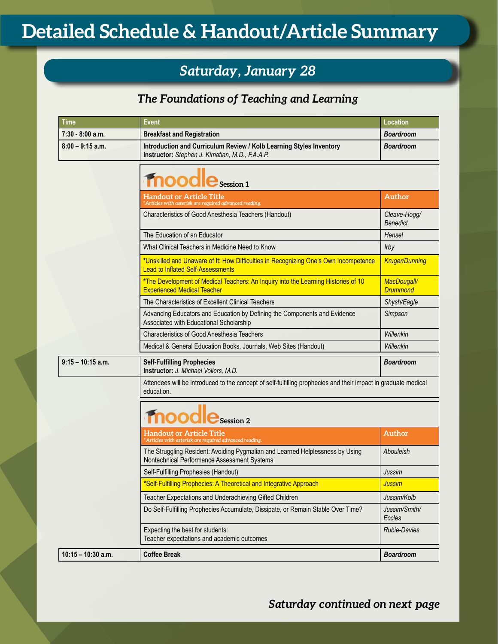## *Saturday, January 28*

## *The Foundations of Teaching and Learning*

| Time                 | <b>Event</b>                                                                                                                     | Location                        |
|----------------------|----------------------------------------------------------------------------------------------------------------------------------|---------------------------------|
| $7:30 - 8:00$ a.m.   | <b>Breakfast and Registration</b>                                                                                                | Boardroom                       |
| $8:00 - 9:15$ a.m.   | Introduction and Curriculum Review / Kolb Learning Styles Inventory<br>Instructor: Stephen J. Kimatian, M.D., F.A.A.P.           | <b>Boardroom</b>                |
|                      | $\mathrm{ood} \mathbf{e}_{\text{\tiny{Session 1}}}$                                                                              |                                 |
|                      | <b>Handout or Article Title</b><br>'Articles with asterisk are required advanced reading.                                        | Author                          |
|                      | Characteristics of Good Anesthesia Teachers (Handout)                                                                            | Cleave-Hogg/<br><b>Benedict</b> |
|                      | The Education of an Educator                                                                                                     | Hensel                          |
|                      | What Clinical Teachers in Medicine Need to Know                                                                                  | Irby                            |
|                      | *Unskilled and Unaware of It: How Difficulties in Recognizing One's Own Incompetence<br><b>Lead to Inflated Self-Assessments</b> | <b>Kruger/Dunning</b>           |
|                      | *The Development of Medical Teachers: An Inquiry into the Learning Histories of 10<br><b>Experienced Medical Teacher</b>         | MacDougall/<br><b>Drummond</b>  |
|                      | The Characteristics of Excellent Clinical Teachers                                                                               | Shysh/Eagle                     |
|                      | Advancing Educators and Education by Defining the Components and Evidence<br>Associated with Educational Scholarship             | Simpson                         |
|                      | <b>Characteristics of Good Anesthesia Teachers</b>                                                                               | Willenkin                       |
|                      | Medical & General Education Books, Journals, Web Sites (Handout)                                                                 | Willenkin                       |
| $9:15 - 10:15$ a.m.  | <b>Self-Fulfilling Prophecies</b><br>Instructor: J. Michael Vollers, M.D.                                                        | Boardroom                       |
|                      | Attendees will be introduced to the concept of self-fulfilling prophecies and their impact in graduate medical<br>education.     |                                 |
|                      | $\log_{\text{Gession 2}}$                                                                                                        |                                 |
|                      | Handout or Article Title<br>Articles with asterisk are required advanced reading.                                                | Author                          |
|                      | The Struggling Resident: Avoiding Pygmalian and Learned Helplessness by Using<br>Nontechnical Performance Assessment Systems     | Abouleish                       |
|                      | Self-Fulfilling Prophesies (Handout)                                                                                             | Jussim                          |
|                      | *Self-Fulfilling Prophecies: A Theoretical and Integrative Approach                                                              | <b>Jussim</b>                   |
|                      | Teacher Expectations and Underachieving Gifted Children                                                                          | Jussim/Kolb                     |
|                      | Do Self-Fulfilling Prophecies Accumulate, Dissipate, or Remain Stable Over Time?                                                 | Jussim/Smith/<br>Eccles         |
|                      | Expecting the best for students:<br>Teacher expectations and academic outcomes                                                   | <b>Rubie-Davies</b>             |
| $10:15 - 10:30$ a.m. | <b>Coffee Break</b>                                                                                                              | <b>Boardroom</b>                |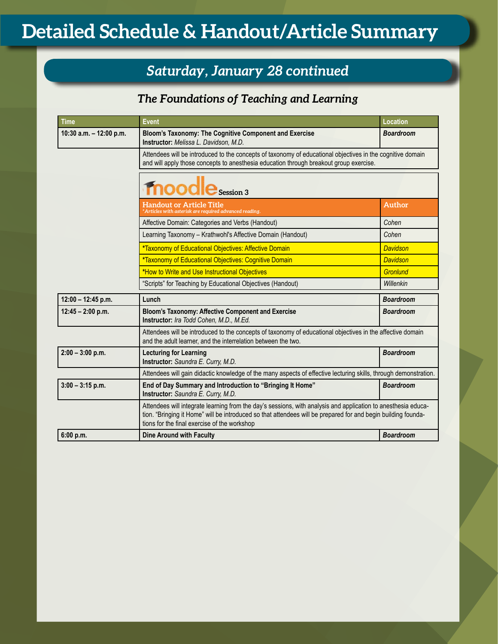## *Saturday, January 28 continued*

## *The Foundations of Teaching and Learning*

| <b>Time</b>               | <b>Event</b>                                                                                                                                                                                                                                                                   | Location                                                                                                   |  |
|---------------------------|--------------------------------------------------------------------------------------------------------------------------------------------------------------------------------------------------------------------------------------------------------------------------------|------------------------------------------------------------------------------------------------------------|--|
| 10:30 a.m. $-$ 12:00 p.m. | Bloom's Taxonomy: The Cognitive Component and Exercise<br>Instructor: Melissa L. Davidson, M.D.                                                                                                                                                                                | <b>Boardroom</b>                                                                                           |  |
|                           | and will apply those concepts to anesthesia education through breakout group exercise.                                                                                                                                                                                         | Attendees will be introduced to the concepts of taxonomy of educational objectives in the cognitive domain |  |
|                           | moodle Session 3                                                                                                                                                                                                                                                               |                                                                                                            |  |
|                           | <b>Handout or Article Title</b><br>Articles with asterisk are required advanced reading.                                                                                                                                                                                       | <b>Author</b>                                                                                              |  |
|                           | Affective Domain: Categories and Verbs (Handout)                                                                                                                                                                                                                               | Cohen                                                                                                      |  |
|                           | Learning Taxonomy - Krathwohl's Affective Domain (Handout)                                                                                                                                                                                                                     | Cohen                                                                                                      |  |
|                           | *Taxonomy of Educational Objectives: Affective Domain                                                                                                                                                                                                                          | <b>Davidson</b>                                                                                            |  |
|                           | *Taxonomy of Educational Objectives: Cognitive Domain                                                                                                                                                                                                                          | <b>Davidson</b>                                                                                            |  |
|                           | *How to Write and Use Instructional Objectives                                                                                                                                                                                                                                 | <b>Gronlund</b>                                                                                            |  |
|                           | "Scripts" for Teaching by Educational Objectives (Handout)                                                                                                                                                                                                                     | Willenkin                                                                                                  |  |
| $12:00 - 12:45$ p.m.      | Lunch                                                                                                                                                                                                                                                                          | <b>Boardroom</b>                                                                                           |  |
| $12:45 - 2:00$ p.m.       | <b>Bloom's Taxonomy: Affective Component and Exercise</b><br>Instructor: Ira Todd Cohen, M.D., M.Ed.                                                                                                                                                                           | <b>Boardroom</b>                                                                                           |  |
|                           | Attendees will be introduced to the concepts of taxonomy of educational objectives in the affective domain<br>and the adult learner, and the interrelation between the two.                                                                                                    |                                                                                                            |  |
| $2:00 - 3:00$ p.m.        | <b>Lecturing for Learning</b><br>Instructor: Saundra E. Curry, M.D.                                                                                                                                                                                                            | <b>Boardroom</b>                                                                                           |  |
|                           | Attendees will gain didactic knowledge of the many aspects of effective lecturing skills, through demonstration.                                                                                                                                                               |                                                                                                            |  |
| $3:00 - 3:15$ p.m.        | End of Day Summary and Introduction to "Bringing It Home"<br>Instructor: Saundra E. Curry, M.D.                                                                                                                                                                                | <b>Boardroom</b>                                                                                           |  |
|                           | Attendees will integrate learning from the day's sessions, with analysis and application to anesthesia educa-<br>tion. "Bringing it Home" will be introduced so that attendees will be prepared for and begin building founda-<br>tions for the final exercise of the workshop |                                                                                                            |  |
| 6:00 p.m.                 | <b>Dine Around with Faculty</b>                                                                                                                                                                                                                                                | <b>Boardroom</b>                                                                                           |  |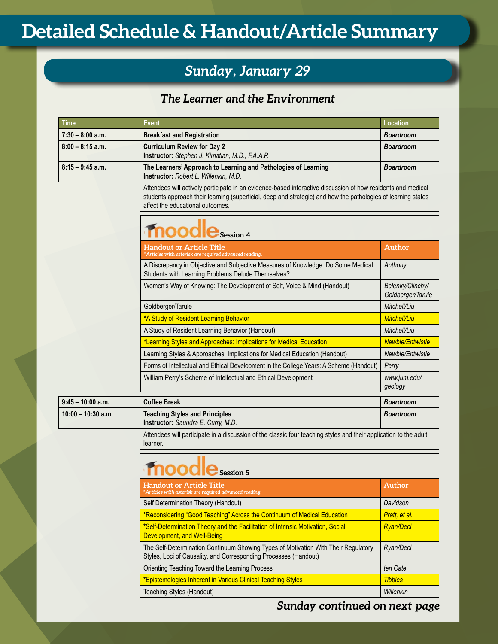## *Sunday, January 29*

## *The Learner and the Environment*

| Time                 | <b>Event</b>                                                                                                                                                                                                                                                      | Location                              |
|----------------------|-------------------------------------------------------------------------------------------------------------------------------------------------------------------------------------------------------------------------------------------------------------------|---------------------------------------|
| $7:30 - 8:00$ a.m.   | <b>Breakfast and Registration</b>                                                                                                                                                                                                                                 | <b>Boardroom</b>                      |
| $8:00 - 8:15$ a.m.   | <b>Curriculum Review for Day 2</b><br>Instructor: Stephen J. Kimatian, M.D., F.A.A.P.                                                                                                                                                                             | <b>Boardroom</b>                      |
| $8:15 - 9:45$ a.m.   | The Learners' Approach to Learning and Pathologies of Learning<br>Instructor: Robert L. Willenkin, M.D.                                                                                                                                                           | <b>Boardroom</b>                      |
|                      | Attendees will actively participate in an evidence-based interactive discussion of how residents and medical<br>students approach their learning (superficial, deep and strategic) and how the pathologies of learning states<br>affect the educational outcomes. |                                       |
|                      | <b>Fnoodle</b> Session 4                                                                                                                                                                                                                                          |                                       |
|                      | Handout or Article Title<br>*Articles with asterisk are required advanced reading.                                                                                                                                                                                | Author                                |
|                      | A Discrepancy in Objective and Subjective Measures of Knowledge: Do Some Medical<br>Students with Learning Problems Delude Themselves?                                                                                                                            | Anthony                               |
|                      | Women's Way of Knowing: The Development of Self, Voice & Mind (Handout)                                                                                                                                                                                           | Belenky/Clinchy/<br>Goldberger/Tarule |
|                      | Goldberger/Tarule                                                                                                                                                                                                                                                 | Mitchell/Liu                          |
|                      | *A Study of Resident Learning Behavior                                                                                                                                                                                                                            | <b>Mitchell/Liu</b>                   |
|                      | A Study of Resident Learning Behavior (Handout)                                                                                                                                                                                                                   | Mitchell/Liu                          |
|                      | *Learning Styles and Approaches: Implications for Medical Education                                                                                                                                                                                               | <b>Newble/Entwistle</b>               |
|                      | Learning Styles & Approaches: Implications for Medical Education (Handout)                                                                                                                                                                                        | Newble/Entwistle                      |
|                      | Forms of Intellectual and Ethical Development in the College Years: A Scheme (Handout)                                                                                                                                                                            | Perry                                 |
|                      | William Perry's Scheme of Intellectual and Ethical Development                                                                                                                                                                                                    | www.jum.edu/<br>geology               |
| $9:45 - 10:00$ a.m.  | <b>Coffee Break</b>                                                                                                                                                                                                                                               | <b>Boardroom</b>                      |
| $10:00 - 10:30$ a.m. | <b>Teaching Styles and Principles</b><br>Instructor: Saundra E. Curry, M.D.                                                                                                                                                                                       | <b>Boardroom</b>                      |
|                      | Attendees will participate in a discussion of the classic four teaching styles and their application to the adult<br>learner.                                                                                                                                     |                                       |
|                      | fnoodle Session 5                                                                                                                                                                                                                                                 |                                       |
|                      | <b>Handout or Article Title</b><br>* <u>Articles with asterisk are required advanced reading.</u>                                                                                                                                                                 | Author                                |
|                      | Self Determination Theory (Handout)                                                                                                                                                                                                                               | Davidson                              |
|                      | *Reconsidering "Good Teaching" Across the Continuum of Medical Education                                                                                                                                                                                          | Pratt, et al.                         |
|                      | *Self-Determination Theory and the Facilitation of Intrinsic Motivation, Social<br>Development, and Well-Being                                                                                                                                                    | <b>Ryan/Deci</b>                      |
|                      | The Self-Determination Continuum Showing Types of Motivation With Their Regulatory<br>Styles, Loci of Causality, and Corresponding Processes (Handout)                                                                                                            | Ryan/Deci                             |
|                      | Orienting Teaching Toward the Learning Process                                                                                                                                                                                                                    | ten Cate                              |
|                      | *Epistemologies Inherent in Various Clinical Teaching Styles                                                                                                                                                                                                      | <b>Tibbles</b>                        |
|                      | Teaching Styles (Handout)                                                                                                                                                                                                                                         | Willenkin                             |

*Sunday continued on next page*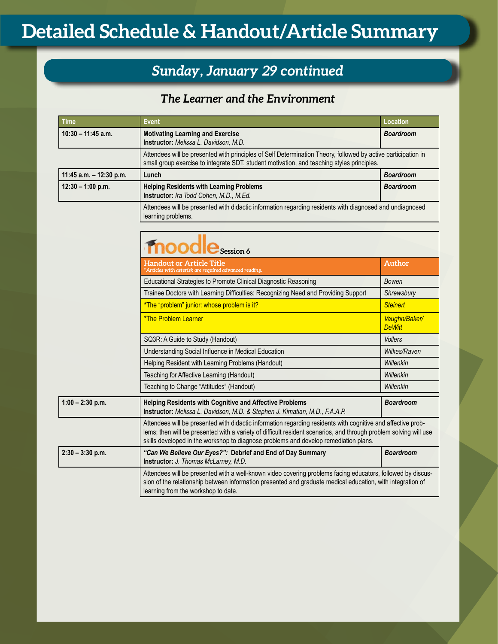## *Sunday, January 29 continued*

## *The Learner and the Environment*

| <b>Time</b>             | Event                                                                                                                                                                                                       | Location         |
|-------------------------|-------------------------------------------------------------------------------------------------------------------------------------------------------------------------------------------------------------|------------------|
| $10:30 - 11:45$ a.m.    | <b>Motivating Learning and Exercise</b><br>Instructor: Melissa L. Davidson, M.D.                                                                                                                            | <b>Boardroom</b> |
|                         | Attendees will be presented with principles of Self Determination Theory, followed by active participation in<br>small group exercise to integrate SDT, student motivation, and teaching styles principles. |                  |
| 11:45 a.m. - 12:30 p.m. | Lunch                                                                                                                                                                                                       | <b>Boardroom</b> |
| $12:30 - 1:00$ p.m.     | <b>Helping Residents with Learning Problems</b><br>Instructor: Ira Todd Cohen, M.D., M.Ed.                                                                                                                  | <b>Boardroom</b> |
|                         | Attendees will be presented with didactic information regarding residents with diagnosed and undiagnosed<br>learning problems.                                                                              |                  |

|                    | moodle Session 6                                                                                                                                                                                                                                                                                                          |                                |
|--------------------|---------------------------------------------------------------------------------------------------------------------------------------------------------------------------------------------------------------------------------------------------------------------------------------------------------------------------|--------------------------------|
|                    | Handout or Article Title<br>*Articles with asterisk are required advanced reading.                                                                                                                                                                                                                                        | <b>Author</b>                  |
|                    | Educational Strategies to Promote Clinical Diagnostic Reasoning                                                                                                                                                                                                                                                           | Bowen                          |
|                    | Trainee Doctors with Learning Difficulties: Recognizing Need and Providing Support                                                                                                                                                                                                                                        | Shrewsbury                     |
|                    | *The "problem" junior: whose problem is it?                                                                                                                                                                                                                                                                               | <b>Steinert</b>                |
|                    | <b>*The Problem Learner</b>                                                                                                                                                                                                                                                                                               | Vaughn/Baker/<br><b>DeWitt</b> |
|                    | SQ3R: A Guide to Study (Handout)                                                                                                                                                                                                                                                                                          | <b>Vollers</b>                 |
|                    | Understanding Social Influence in Medical Education                                                                                                                                                                                                                                                                       | Wilkes/Raven                   |
|                    | Helping Resident with Learning Problems (Handout)                                                                                                                                                                                                                                                                         | Willenkin                      |
|                    | Teaching for Affective Learning (Handout)                                                                                                                                                                                                                                                                                 | Willenkin                      |
|                    | Teaching to Change "Attitudes" (Handout)                                                                                                                                                                                                                                                                                  | Willenkin                      |
| $1:00 - 2:30$ p.m. | <b>Helping Residents with Cognitive and Affective Problems</b><br>Instructor: Melissa L. Davidson, M.D. & Stephen J. Kimatian, M.D., F.A.A.P.                                                                                                                                                                             | <b>Boardroom</b>               |
|                    | Attendees will be presented with didactic information regarding residents with cognitive and affective prob-<br>lems; then will be presented with a variety of difficult resident scenarios, and through problem solving will use<br>skills developed in the workshop to diagnose problems and develop remediation plans. |                                |
| $2:30 - 3:30$ p.m. | "Can We Believe Our Eyes?": Debrief and End of Day Summary<br>Instructor: J. Thomas McLarney, M.D.                                                                                                                                                                                                                        | <b>Boardroom</b>               |
|                    | Attendees will be presented with a well-known video covering problems facing educators, followed by discus-<br>sion of the relationship between information presented and graduate medical education, with integration of<br>learning from the workshop to date.                                                          |                                |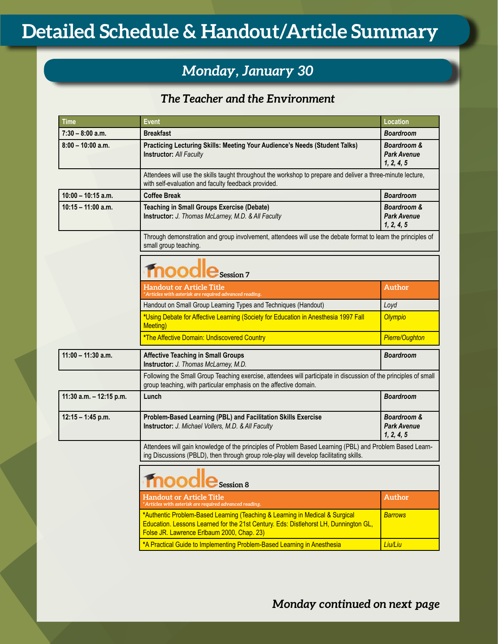## *Monday, January 30*

## *The Teacher and the Environment*

| <b>Time</b>             | <b>Event</b>                                                                                                                                                                                                       | Location                                                   |
|-------------------------|--------------------------------------------------------------------------------------------------------------------------------------------------------------------------------------------------------------------|------------------------------------------------------------|
| $7:30 - 8:00$ a.m.      | <b>Breakfast</b>                                                                                                                                                                                                   | Boardroom                                                  |
| $8:00 - 10:00$ a.m.     | Practicing Lecturing Skills: Meeting Your Audience's Needs (Student Talks)<br><b>Instructor: All Faculty</b>                                                                                                       | Boardroom &<br>Park Avenue<br>1, 2, 4, 5                   |
|                         | Attendees will use the skills taught throughout the workshop to prepare and deliver a three-minute lecture,<br>with self-evaluation and faculty feedback provided.                                                 |                                                            |
| $10:00 - 10:15$ a.m.    | <b>Coffee Break</b>                                                                                                                                                                                                | <b>Boardroom</b>                                           |
| $10:15 - 11:00$ a.m.    | <b>Teaching in Small Groups Exercise (Debate)</b><br>Instructor: J. Thomas McLarney, M.D. & All Faculty                                                                                                            | <b>Boardroom &amp;</b><br><b>Park Avenue</b><br>1, 2, 4, 5 |
|                         | Through demonstration and group involvement, attendees will use the debate format to learn the principles of<br>small group teaching.                                                                              |                                                            |
|                         | $\mathrm{node}_{\mathrm{Session 7}}$                                                                                                                                                                               |                                                            |
|                         | <b>Handout or Article Title</b><br>* Articles with asterisk are required advanced reading.                                                                                                                         | Author                                                     |
|                         | Handout on Small Group Learning Types and Techniques (Handout)                                                                                                                                                     | Loyd                                                       |
|                         | *Using Debate for Affective Learning (Society for Education in Anesthesia 1997 Fall<br>Meeting)                                                                                                                    | <b>Olympio</b>                                             |
|                         | *The Affective Domain: Undiscovered Country                                                                                                                                                                        | <b>Pierre/Oughton</b>                                      |
| $11:00 - 11:30$ a.m.    | <b>Affective Teaching in Small Groups</b><br>Instructor: J. Thomas McLarney, M.D.                                                                                                                                  | <b>Boardroom</b>                                           |
|                         | Following the Small Group Teaching exercise, attendees will participate in discussion of the principles of small<br>group teaching, with particular emphasis on the affective domain.                              |                                                            |
| 11:30 a.m. - 12:15 p.m. | Lunch                                                                                                                                                                                                              | <b>Boardroom</b>                                           |
| $12:15 - 1:45$ p.m.     | Problem-Based Learning (PBL) and Facilitation Skills Exercise<br>Instructor: J. Michael Vollers, M.D. & All Faculty                                                                                                | <b>Boardroom &amp;</b><br><b>Park Avenue</b><br>1, 2, 4, 5 |
|                         | Attendees will gain knowledge of the principles of Problem Based Learning (PBL) and Problem Based Learn-<br>ing Discussions (PBLD), then through group role-play will develop facilitating skills.                 |                                                            |
|                         | oogle<br>Session 8                                                                                                                                                                                                 |                                                            |
|                         | <b>Handout or Article Title</b><br>*Articles with asterisk are required advanced reading.                                                                                                                          | Author                                                     |
|                         | *Authentic Problem-Based Learning (Teaching & Learning in Medical & Surgical<br>Education. Lessons Learned for the 21st Century. Eds: Distlehorst LH, Dunnington GL,<br>Folse JR. Lawrence Erlbaum 2000, Chap. 23) | <b>Barrows</b>                                             |
|                         | *A Practical Guide to Implementing Problem-Based Learning in Anesthesia                                                                                                                                            | Liu/Liu                                                    |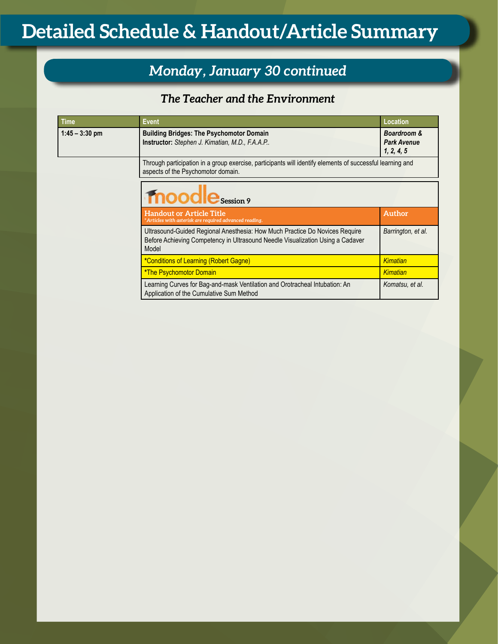## *Monday, January 30 continued*

## *The Teacher and the Environment*

| <b>Time</b>      | <b>Event</b>                                                                                                                                                           | Location                                                   |
|------------------|------------------------------------------------------------------------------------------------------------------------------------------------------------------------|------------------------------------------------------------|
| $1:45 - 3:30$ pm | <b>Building Bridges: The Psychomotor Domain</b><br>Instructor: Stephen J. Kimatian, M.D., F.A.A.P                                                                      | <b>Boardroom &amp;</b><br><b>Park Avenue</b><br>1, 2, 4, 5 |
|                  | Through participation in a group exercise, participants will identify elements of successful learning and<br>aspects of the Psychomotor domain.                        |                                                            |
|                  | moodle Session 9                                                                                                                                                       |                                                            |
|                  | <b>Handout or Article Title</b><br>Articles with asterisk are required advanced reading.                                                                               | Author                                                     |
|                  | Ultrasound-Guided Regional Anesthesia: How Much Practice Do Novices Require<br>Before Achieving Competency in Ultrasound Needle Visualization Using a Cadaver<br>Model | Barrington, et al.                                         |
|                  | *Conditions of Learning (Robert Gagne)                                                                                                                                 | Kimatian                                                   |
|                  | *The Psychomotor Domain                                                                                                                                                | Kimatian                                                   |
|                  | Learning Curves for Bag-and-mask Ventilation and Orotracheal Intubation: An<br>Application of the Cumulative Sum Method                                                | Komatsu, et al.                                            |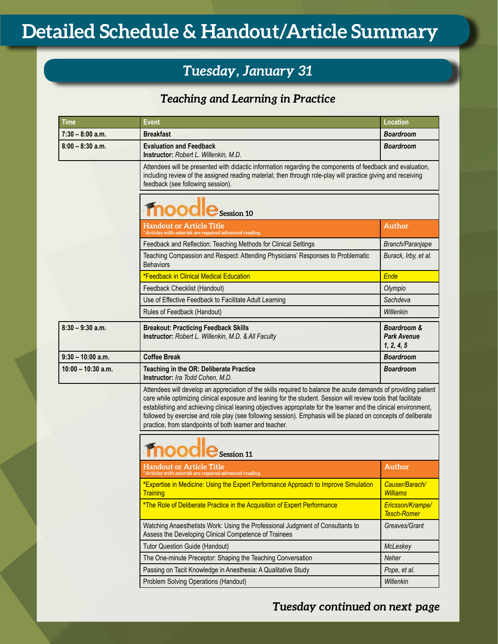## *Tuesday, January 31*

## *Teaching and Learning in Practice*

| <b>Time</b>          | <b>Event</b>                                                                                                                                                                                                                                                                                                                                                                                                                                                                                                                      | <b>Location</b>                                 |
|----------------------|-----------------------------------------------------------------------------------------------------------------------------------------------------------------------------------------------------------------------------------------------------------------------------------------------------------------------------------------------------------------------------------------------------------------------------------------------------------------------------------------------------------------------------------|-------------------------------------------------|
| $7:30 - 8:00$ a.m.   | <b>Breakfast</b>                                                                                                                                                                                                                                                                                                                                                                                                                                                                                                                  | <b>Boardroom</b>                                |
| $8:00 - 8:30$ a.m.   | <b>Evaluation and Feedback</b><br>Instructor: Robert L. Willenkin, M.D.                                                                                                                                                                                                                                                                                                                                                                                                                                                           | <b>Boardroom</b>                                |
|                      | Attendees will be presented with didactic information regarding the components of feedback and evaluation,<br>including review of the assigned reading material; then through role-play will practice giving and receiving<br>feedback (see following session).                                                                                                                                                                                                                                                                   |                                                 |
|                      | lbool<br>Session 10                                                                                                                                                                                                                                                                                                                                                                                                                                                                                                               |                                                 |
|                      | Handout or Article Title<br>rticles with asterisk are required advanced reading.                                                                                                                                                                                                                                                                                                                                                                                                                                                  | Author                                          |
|                      | Feedback and Reflection: Teaching Methods for Clinical Settings                                                                                                                                                                                                                                                                                                                                                                                                                                                                   | Branch/Paranjape                                |
|                      | Teaching Compassion and Respect: Attending Physicians' Responses to Problematic<br><b>Behaviors</b>                                                                                                                                                                                                                                                                                                                                                                                                                               | Burack, Irby, et al.                            |
|                      | *Feedback in Clinical Medical Education                                                                                                                                                                                                                                                                                                                                                                                                                                                                                           | Ende                                            |
|                      | Feedback Checklist (Handout)                                                                                                                                                                                                                                                                                                                                                                                                                                                                                                      | Olympio                                         |
|                      | Use of Effective Feedback to Facilitate Adult Learning                                                                                                                                                                                                                                                                                                                                                                                                                                                                            | Sachdeva                                        |
|                      | Rules of Feedback (Handout)                                                                                                                                                                                                                                                                                                                                                                                                                                                                                                       | Willenkin                                       |
| $8:30 - 9:30$ a.m.   | <b>Breakout: Practicing Feedback Skills</b><br>Instructor: Robert L. Willenkin, M.D. & All Faculty                                                                                                                                                                                                                                                                                                                                                                                                                                | Boardroom &<br><b>Park Avenue</b><br>1, 2, 4, 5 |
| $9:30 - 10:00$ a.m.  | <b>Coffee Break</b>                                                                                                                                                                                                                                                                                                                                                                                                                                                                                                               | <b>Boardroom</b>                                |
| $10:00 - 10:30$ a.m. | Teaching in the OR: Deliberate Practice<br>Instructor: Ira Todd Cohen, M.D.                                                                                                                                                                                                                                                                                                                                                                                                                                                       | <b>Boardroom</b>                                |
|                      | Attendees will develop an appreciation of the skills required to balance the acute demands of providing patient<br>care while optimizing clinical exposure and leaning for the student. Session will review tools that facilitate<br>establishing and achieving clinical leaning objectives appropriate for the learner and the clinical environment,<br>followed by exercise and role play (see following session). Emphasis will be placed on concepts of deliberate<br>practice, from standpoints of both learner and teacher. |                                                 |
|                      | Session 11                                                                                                                                                                                                                                                                                                                                                                                                                                                                                                                        |                                                 |
|                      | <b>Handout or Article Title</b><br>'Articles with asterisk are required advanced reading.                                                                                                                                                                                                                                                                                                                                                                                                                                         | Author                                          |
|                      | *Expertise in Medicine: Using the Expert Performance Approach to Improve Simulation<br><b>Training</b>                                                                                                                                                                                                                                                                                                                                                                                                                            | Causer/Barach/<br><b>Williams</b>               |
|                      | *The Role of Deliberate Practice in the Acquisition of Expert Performance                                                                                                                                                                                                                                                                                                                                                                                                                                                         | Ericsson/Krampe/<br><b>Tesch-Romer</b>          |
|                      | Watching Anaesthetists Work: Using the Professional Judgment of Consultants to<br>Assess the Developing Clinical Competence of Trainees                                                                                                                                                                                                                                                                                                                                                                                           | Greaves/Grant                                   |
|                      | <b>Tutor Question Guide (Handout)</b>                                                                                                                                                                                                                                                                                                                                                                                                                                                                                             | McLeskey                                        |
|                      |                                                                                                                                                                                                                                                                                                                                                                                                                                                                                                                                   |                                                 |
|                      | The One-minute Preceptor: Shaping the Teaching Conversation                                                                                                                                                                                                                                                                                                                                                                                                                                                                       | Neher                                           |
|                      | Passing on Tacit Knowledge in Anesthesia: A Qualitative Study                                                                                                                                                                                                                                                                                                                                                                                                                                                                     | Pope, et al.                                    |

## *Tuesday continued on next page*